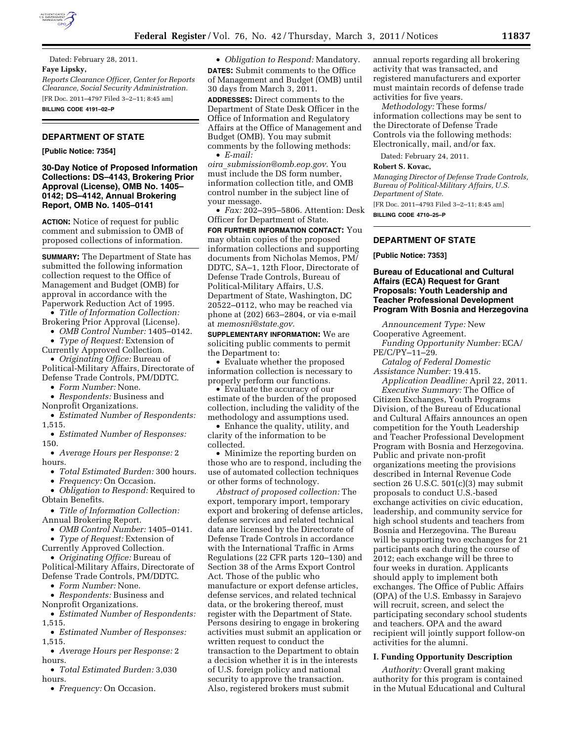

Dated: February 28, 2011.

## **Faye Lipsky,**

*Reports Clearance Officer, Center for Reports Clearance, Social Security Administration.*  [FR Doc. 2011–4797 Filed 3–2–11; 8:45 am] **BILLING CODE 4191–02–P** 

#### **DEPARTMENT OF STATE**

**[Public Notice: 7354]** 

**30-Day Notice of Proposed Information Collections: DS–4143, Brokering Prior Approval (License), OMB No. 1405– 0142; DS–4142, Annual Brokering Report, OMB No. 1405–0141** 

**ACTION:** Notice of request for public comment and submission to OMB of proposed collections of information.

**SUMMARY:** The Department of State has submitted the following information collection request to the Office of Management and Budget (OMB) for approval in accordance with the Paperwork Reduction Act of 1995.

- *Title of Information Collection:*  Brokering Prior Approval (License).
- *OMB Control Number:* 1405–0142.
- *Type of Request:* Extension of
- Currently Approved Collection.

• *Originating Office:* Bureau of Political-Military Affairs, Directorate of Defense Trade Controls, PM/DDTC.

• *Form Number:* None.

• *Respondents:* Business and

Nonprofit Organizations.

• *Estimated Number of Respondents:*  1,515.

• *Estimated Number of Responses:*  150.

• *Average Hours per Response:* 2 hours.

• *Total Estimated Burden:* 300 hours.

• *Frequency:* On Occasion.

• *Obligation to Respond:* Required to Obtain Benefits.

• *Title of Information Collection:*  Annual Brokering Report.

• *OMB Control Number:* 1405–0141.

• *Type of Request:* Extension of Currently Approved Collection.

• *Originating Office:* Bureau of Political-Military Affairs, Directorate of Defense Trade Controls, PM/DDTC.

• *Form Number:* None.

• *Respondents:* Business and

Nonprofit Organizations.

• *Estimated Number of Respondents:*  1,515.

• *Estimated Number of Responses:*  1,515.

• *Average Hours per Response:* 2 hours.

• *Total Estimated Burden:* 3,030 hours.

• *Frequency:* On Occasion.

• *Obligation to Respond:* Mandatory. **DATES:** Submit comments to the Office of Management and Budget (OMB) until 30 days from March 3, 2011. **ADDRESSES:** Direct comments to the Department of State Desk Officer in the Office of Information and Regulatory Affairs at the Office of Management and Budget (OMB). You may submit comments by the following methods: • *E-mail:* 

*oira*\_*[submission@omb.eop.gov.](mailto:oira_submission@omb.eop.gov)* You must include the DS form number, information collection title, and OMB control number in the subject line of your message.

• *Fax:* 202–395–5806. Attention: Desk Officer for Department of State.

**FOR FURTHER INFORMATION CONTACT:** You may obtain copies of the proposed information collections and supporting documents from Nicholas Memos, PM/ DDTC, SA–1, 12th Floor, Directorate of Defense Trade Controls, Bureau of Political-Military Affairs, U.S. Department of State, Washington, DC 20522–0112, who may be reached via phone at (202) 663–2804, or via e-mail at *[memosni@state.gov.](mailto:memosni@state.gov)* 

**SUPPLEMENTARY INFORMATION:** We are soliciting public comments to permit the Department to:

• Evaluate whether the proposed information collection is necessary to properly perform our functions.

• Evaluate the accuracy of our estimate of the burden of the proposed collection, including the validity of the methodology and assumptions used.

• Enhance the quality, utility, and clarity of the information to be collected.

• Minimize the reporting burden on those who are to respond, including the use of automated collection techniques or other forms of technology.

*Abstract of proposed collection:* The export, temporary import, temporary export and brokering of defense articles, defense services and related technical data are licensed by the Directorate of Defense Trade Controls in accordance with the International Traffic in Arms Regulations (22 CFR parts 120–130) and Section 38 of the Arms Export Control Act. Those of the public who manufacture or export defense articles, defense services, and related technical data, or the brokering thereof, must register with the Department of State. Persons desiring to engage in brokering activities must submit an application or written request to conduct the transaction to the Department to obtain a decision whether it is in the interests of U.S. foreign policy and national security to approve the transaction. Also, registered brokers must submit

annual reports regarding all brokering activity that was transacted, and registered manufacturers and exporter must maintain records of defense trade activities for five years.

*Methodology:* These forms/ information collections may be sent to the Directorate of Defense Trade Controls via the following methods: Electronically, mail, and/or fax.

Dated: February 24, 2011.

#### **Robert S. Kovac,**

*Managing Director of Defense Trade Controls, Bureau of Political-Military Affairs, U.S. Department of State.* 

[FR Doc. 2011–4793 Filed 3–2–11; 8:45 am] **BILLING CODE 4710–25–P** 

# **DEPARTMENT OF STATE**

**[Public Notice: 7353]** 

# **Bureau of Educational and Cultural Affairs (ECA) Request for Grant Proposals: Youth Leadership and Teacher Professional Development Program With Bosnia and Herzegovina**

*Announcement Type:* New

Cooperative Agreement. *Funding Opportunity Number:* ECA/

PE/C/PY–11–29.

*Catalog of Federal Domestic Assistance Number:* 19.415.

*Application Deadline:* April 22, 2011.

*Executive Summary:* The Office of Citizen Exchanges, Youth Programs Division, of the Bureau of Educational and Cultural Affairs announces an open competition for the Youth Leadership and Teacher Professional Development Program with Bosnia and Herzegovina. Public and private non-profit organizations meeting the provisions described in Internal Revenue Code section 26 U.S.C.  $501(c)(3)$  may submit proposals to conduct U.S.-based exchange activities on civic education, leadership, and community service for high school students and teachers from Bosnia and Herzegovina. The Bureau will be supporting two exchanges for 21 participants each during the course of 2012; each exchange will be three to four weeks in duration. Applicants should apply to implement both exchanges. The Office of Public Affairs (OPA) of the U.S. Embassy in Sarajevo will recruit, screen, and select the participating secondary school students and teachers. OPA and the award recipient will jointly support follow-on activities for the alumni.

## **I. Funding Opportunity Description**

*Authority:* Overall grant making authority for this program is contained in the Mutual Educational and Cultural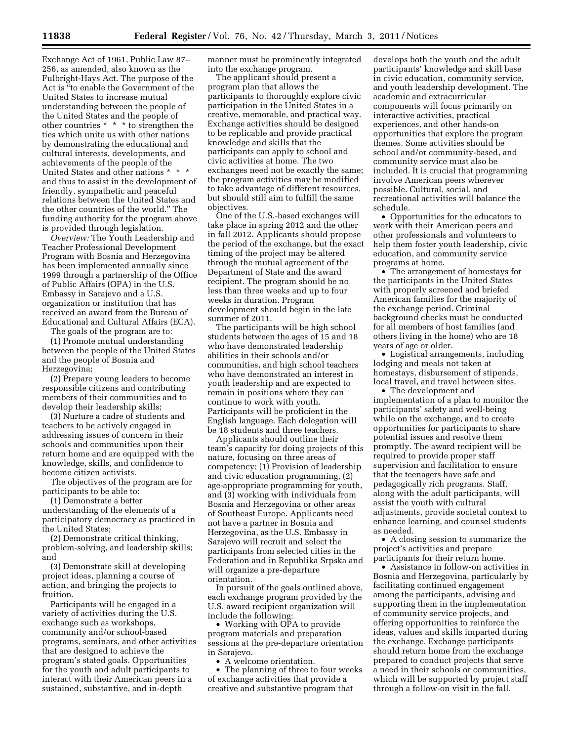Exchange Act of 1961, Public Law 87– 256, as amended, also known as the Fulbright-Hays Act. The purpose of the Act is ''to enable the Government of the United States to increase mutual understanding between the people of the United States and the people of other countries \* \* \* to strengthen the ties which unite us with other nations by demonstrating the educational and cultural interests, developments, and achievements of the people of the United States and other nations \* \* \* and thus to assist in the development of friendly, sympathetic and peaceful relations between the United States and the other countries of the world.'' The funding authority for the program above is provided through legislation.

*Overview:* The Youth Leadership and Teacher Professional Development Program with Bosnia and Herzegovina has been implemented annually since 1999 through a partnership of the Office of Public Affairs (OPA) in the U.S. Embassy in Sarajevo and a U.S. organization or institution that has received an award from the Bureau of Educational and Cultural Affairs (ECA).

The goals of the program are to:

(1) Promote mutual understanding between the people of the United States and the people of Bosnia and Herzegovina;

(2) Prepare young leaders to become responsible citizens and contributing members of their communities and to develop their leadership skills;

(3) Nurture a cadre of students and teachers to be actively engaged in addressing issues of concern in their schools and communities upon their return home and are equipped with the knowledge, skills, and confidence to become citizen activists.

The objectives of the program are for participants to be able to:

(1) Demonstrate a better understanding of the elements of a participatory democracy as practiced in the United States;

(2) Demonstrate critical thinking, problem-solving, and leadership skills; and

(3) Demonstrate skill at developing project ideas, planning a course of action, and bringing the projects to fruition.

Participants will be engaged in a variety of activities during the U.S. exchange such as workshops, community and/or school-based programs, seminars, and other activities that are designed to achieve the program's stated goals. Opportunities for the youth and adult participants to interact with their American peers in a sustained, substantive, and in-depth

manner must be prominently integrated into the exchange program.

The applicant should present a program plan that allows the participants to thoroughly explore civic participation in the United States in a creative, memorable, and practical way. Exchange activities should be designed to be replicable and provide practical knowledge and skills that the participants can apply to school and civic activities at home. The two exchanges need not be exactly the same; the program activities may be modified to take advantage of different resources, but should still aim to fulfill the same objectives.

One of the U.S.-based exchanges will take place in spring 2012 and the other in fall 2012. Applicants should propose the period of the exchange, but the exact timing of the project may be altered through the mutual agreement of the Department of State and the award recipient. The program should be no less than three weeks and up to four weeks in duration. Program development should begin in the late summer of 2011.

The participants will be high school students between the ages of 15 and 18 who have demonstrated leadership abilities in their schools and/or communities, and high school teachers who have demonstrated an interest in youth leadership and are expected to remain in positions where they can continue to work with youth. Participants will be proficient in the English language. Each delegation will be 18 students and three teachers.

Applicants should outline their team's capacity for doing projects of this nature, focusing on three areas of competency: (1) Provision of leadership and civic education programming, (2) age-appropriate programming for youth, and (3) working with individuals from Bosnia and Herzegovina or other areas of Southeast Europe. Applicants need not have a partner in Bosnia and Herzegovina, as the U.S. Embassy in Sarajevo will recruit and select the participants from selected cities in the Federation and in Republika Srpska and will organize a pre-departure orientation.

In pursuit of the goals outlined above, each exchange program provided by the U.S. award recipient organization will include the following:

• Working with OPA to provide program materials and preparation sessions at the pre-departure orientation in Sarajevo.

• A welcome orientation.

• The planning of three to four weeks of exchange activities that provide a creative and substantive program that

develops both the youth and the adult participants' knowledge and skill base in civic education, community service, and youth leadership development. The academic and extracurricular components will focus primarily on interactive activities, practical experiences, and other hands-on opportunities that explore the program themes. Some activities should be school and/or community-based, and community service must also be included. It is crucial that programming involve American peers wherever possible. Cultural, social, and recreational activities will balance the schedule.

• Opportunities for the educators to work with their American peers and other professionals and volunteers to help them foster youth leadership, civic education, and community service programs at home.

• The arrangement of homestays for the participants in the United States with properly screened and briefed American families for the majority of the exchange period. Criminal background checks must be conducted for all members of host families (and others living in the home) who are 18 years of age or older.

• Logistical arrangements, including lodging and meals not taken at homestays, disbursement of stipends, local travel, and travel between sites.

• The development and implementation of a plan to monitor the participants' safety and well-being while on the exchange, and to create opportunities for participants to share potential issues and resolve them promptly. The award recipient will be required to provide proper staff supervision and facilitation to ensure that the teenagers have safe and pedagogically rich programs. Staff, along with the adult participants, will assist the youth with cultural adjustments, provide societal context to enhance learning, and counsel students as needed.

• A closing session to summarize the project's activities and prepare participants for their return home.

• Assistance in follow-on activities in Bosnia and Herzegovina, particularly by facilitating continued engagement among the participants, advising and supporting them in the implementation of community service projects, and offering opportunities to reinforce the ideas, values and skills imparted during the exchange. Exchange participants should return home from the exchange prepared to conduct projects that serve a need in their schools or communities, which will be supported by project staff through a follow-on visit in the fall.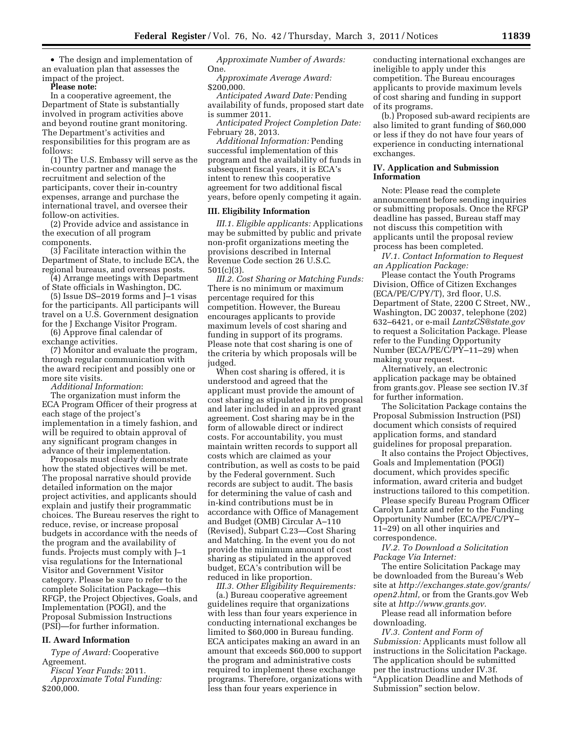• The design and implementation of an evaluation plan that assesses the impact of the project.

**Please note:** 

In a cooperative agreement, the Department of State is substantially involved in program activities above and beyond routine grant monitoring. The Department's activities and responsibilities for this program are as follows:

(1) The U.S. Embassy will serve as the in-country partner and manage the recruitment and selection of the participants, cover their in-country expenses, arrange and purchase the international travel, and oversee their follow-on activities.

(2) Provide advice and assistance in the execution of all program components.

(3) Facilitate interaction within the Department of State, to include ECA, the regional bureaus, and overseas posts.

(4) Arrange meetings with Department of State officials in Washington, DC.

(5) Issue DS–2019 forms and J–1 visas for the participants. All participants will travel on a U.S. Government designation for the J Exchange Visitor Program.

(6) Approve final calendar of exchange activities.

(7) Monitor and evaluate the program, through regular communication with the award recipient and possibly one or more site visits.

*Additional Information*:

The organization must inform the ECA Program Officer of their progress at each stage of the project's implementation in a timely fashion, and will be required to obtain approval of any significant program changes in advance of their implementation.

Proposals must clearly demonstrate how the stated objectives will be met. The proposal narrative should provide detailed information on the major project activities, and applicants should explain and justify their programmatic choices. The Bureau reserves the right to reduce, revise, or increase proposal budgets in accordance with the needs of the program and the availability of funds. Projects must comply with J–1 visa regulations for the International Visitor and Government Visitor category. Please be sure to refer to the complete Solicitation Package—this RFGP, the Project Objectives, Goals, and Implementation (POGI), and the Proposal Submission Instructions (PSI)—for further information.

# **II. Award Information**

*Type of Award:* Cooperative Agreement.

*Fiscal Year Funds:* 2011. *Approximate Total Funding:*  \$200,000.

*Approximate Number of Awards:*  One.

*Approximate Average Award:*  \$200,000.

*Anticipated Award Date:* Pending availability of funds, proposed start date is summer 2011.

*Anticipated Project Completion Date:*  February 28, 2013.

*Additional Information:* Pending successful implementation of this program and the availability of funds in subsequent fiscal years, it is ECA's intent to renew this cooperative agreement for two additional fiscal years, before openly competing it again.

#### **III. Eligibility Information**

*III.1. Eligible applicants:* Applications may be submitted by public and private non-profit organizations meeting the provisions described in Internal Revenue Code section 26 U.S.C. 501(c)(3).

*III.2. Cost Sharing or Matching Funds:*  There is no minimum or maximum percentage required for this competition. However, the Bureau encourages applicants to provide maximum levels of cost sharing and funding in support of its programs. Please note that cost sharing is one of the criteria by which proposals will be judged.

When cost sharing is offered, it is understood and agreed that the applicant must provide the amount of cost sharing as stipulated in its proposal and later included in an approved grant agreement. Cost sharing may be in the form of allowable direct or indirect costs. For accountability, you must maintain written records to support all costs which are claimed as your contribution, as well as costs to be paid by the Federal government. Such records are subject to audit. The basis for determining the value of cash and in-kind contributions must be in accordance with Office of Management and Budget (OMB) Circular A–110 (Revised), Subpart C.23—Cost Sharing and Matching. In the event you do not provide the minimum amount of cost sharing as stipulated in the approved budget, ECA's contribution will be reduced in like proportion.

*III.3. Other Eligibility Requirements:*  (a.) Bureau cooperative agreement guidelines require that organizations with less than four years experience in conducting international exchanges be limited to \$60,000 in Bureau funding. ECA anticipates making an award in an amount that exceeds \$60,000 to support the program and administrative costs required to implement these exchange programs. Therefore, organizations with less than four years experience in

conducting international exchanges are ineligible to apply under this competition. The Bureau encourages applicants to provide maximum levels of cost sharing and funding in support of its programs.

(b.) Proposed sub-award recipients are also limited to grant funding of \$60,000 or less if they do not have four years of experience in conducting international exchanges.

### **IV. Application and Submission Information**

Note: Please read the complete announcement before sending inquiries or submitting proposals. Once the RFGP deadline has passed, Bureau staff may not discuss this competition with applicants until the proposal review process has been completed.

*IV.1. Contact Information to Request an Application Package:* 

Please contact the Youth Programs Division, Office of Citizen Exchanges (ECA/PE/C/PY/T), 3rd floor, U.S. Department of State, 2200 C Street, NW., Washington, DC 20037, telephone (202) 632–6421, or e-mail *[LantzCS@state.gov](mailto:LantzCS@state.gov)*  to request a Solicitation Package. Please refer to the Funding Opportunity Number (ECA/PE/C/PY–11–29) when making your request.

Alternatively, an electronic application package may be obtained from grants.gov. Please see section IV.3f for further information.

The Solicitation Package contains the Proposal Submission Instruction (PSI) document which consists of required application forms, and standard guidelines for proposal preparation.

It also contains the Project Objectives, Goals and Implementation (POGI) document, which provides specific information, award criteria and budget instructions tailored to this competition.

Please specify Bureau Program Officer Carolyn Lantz and refer to the Funding Opportunity Number (ECA/PE/C/PY– 11–29) on all other inquiries and correspondence.

*IV.2. To Download a Solicitation Package Via Internet:* 

The entire Solicitation Package may be downloaded from the Bureau's Web site at *[http://exchanges.state.gov/grants/](http://exchanges.state.gov/grants/open2.html)  [open2.html,](http://exchanges.state.gov/grants/open2.html)* or from the Grants.gov Web site at *<http://www.grants.gov>*.

Please read all information before downloading.

*IV.3. Content and Form of Submission:* Applicants must follow all instructions in the Solicitation Package. The application should be submitted per the instructions under IV.3f. ''Application Deadline and Methods of Submission'' section below.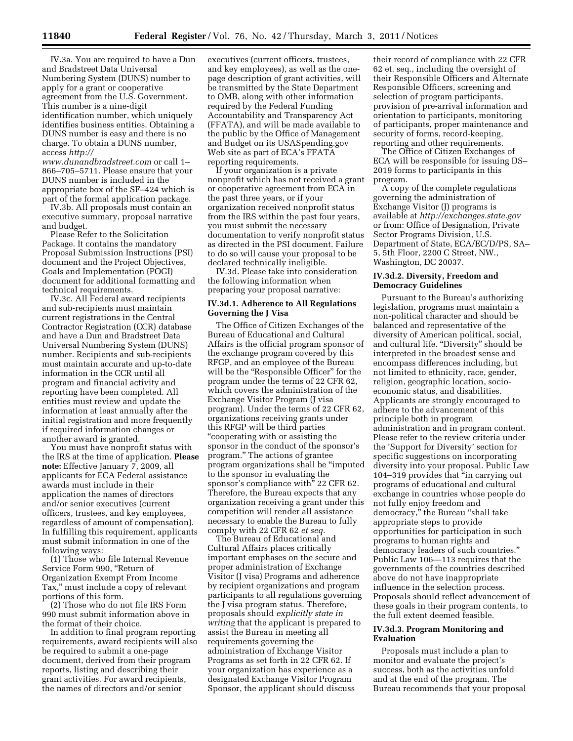IV.3a. You are required to have a Dun and Bradstreet Data Universal Numbering System (DUNS) number to apply for a grant or cooperative agreement from the U.S. Government. This number is a nine-digit identification number, which uniquely identifies business entities. Obtaining a DUNS number is easy and there is no charge. To obtain a DUNS number, access *[http://](http://www.dunandbradstreet.com)* 

*[www.dunandbradstreet.com](http://www.dunandbradstreet.com)* or call 1– 866–705–5711. Please ensure that your DUNS number is included in the appropriate box of the SF–424 which is part of the formal application package.

IV.3b. All proposals must contain an executive summary, proposal narrative and budget.

Please Refer to the Solicitation Package. It contains the mandatory Proposal Submission Instructions (PSI) document and the Project Objectives, Goals and Implementation (POGI) document for additional formatting and technical requirements.

IV.3c. All Federal award recipients and sub-recipients must maintain current registrations in the Central Contractor Registration (CCR) database and have a Dun and Bradstreet Data Universal Numbering System (DUNS) number. Recipients and sub-recipients must maintain accurate and up-to-date information in the CCR until all program and financial activity and reporting have been completed. All entities must review and update the information at least annually after the initial registration and more frequently if required information changes or another award is granted.

You must have nonprofit status with the IRS at the time of application. **Please note:** Effective January 7, 2009, all applicants for ECA Federal assistance awards must include in their application the names of directors and/or senior executives (current officers, trustees, and key employees, regardless of amount of compensation). In fulfilling this requirement, applicants must submit information in one of the following ways:

(1) Those who file Internal Revenue Service Form 990, "Return of Organization Exempt From Income Tax,'' must include a copy of relevant portions of this form.

(2) Those who do not file IRS Form 990 must submit information above in the format of their choice.

In addition to final program reporting requirements, award recipients will also be required to submit a one-page document, derived from their program reports, listing and describing their grant activities. For award recipients, the names of directors and/or senior

executives (current officers, trustees, and key employees), as well as the onepage description of grant activities, will be transmitted by the State Department to OMB, along with other information required by the Federal Funding Accountability and Transparency Act (FFATA), and will be made available to the public by the Office of Management and Budget on its USASpending.gov Web site as part of ECA's FFATA reporting requirements.

If your organization is a private nonprofit which has not received a grant or cooperative agreement from ECA in the past three years, or if your organization received nonprofit status from the IRS within the past four years, you must submit the necessary documentation to verify nonprofit status as directed in the PSI document. Failure to do so will cause your proposal to be declared technically ineligible.

IV.3d. Please take into consideration the following information when preparing your proposal narrative:

# **IV.3d.1. Adherence to All Regulations Governing the J Visa**

The Office of Citizen Exchanges of the Bureau of Educational and Cultural Affairs is the official program sponsor of the exchange program covered by this RFGP, and an employee of the Bureau will be the "Responsible Officer" for the program under the terms of 22 CFR 62, which covers the administration of the Exchange Visitor Program (J visa program). Under the terms of 22 CFR 62, organizations receiving grants under this RFGP will be third parties ''cooperating with or assisting the sponsor in the conduct of the sponsor's program.'' The actions of grantee program organizations shall be ''imputed to the sponsor in evaluating the sponsor's compliance with'' 22 CFR 62. Therefore, the Bureau expects that any organization receiving a grant under this competition will render all assistance necessary to enable the Bureau to fully comply with 22 CFR 62 *et seq.* 

The Bureau of Educational and Cultural Affairs places critically important emphases on the secure and proper administration of Exchange Visitor (J visa) Programs and adherence by recipient organizations and program participants to all regulations governing the J visa program status. Therefore, proposals should *explicitly state in writing* that the applicant is prepared to assist the Bureau in meeting all requirements governing the administration of Exchange Visitor Programs as set forth in 22 CFR 62. If your organization has experience as a designated Exchange Visitor Program Sponsor, the applicant should discuss

their record of compliance with 22 CFR 62 et. seq., including the oversight of their Responsible Officers and Alternate Responsible Officers, screening and selection of program participants, provision of pre-arrival information and orientation to participants, monitoring of participants, proper maintenance and security of forms, record-keeping, reporting and other requirements.

The Office of Citizen Exchanges of ECA will be responsible for issuing DS– 2019 forms to participants in this program.

A copy of the complete regulations governing the administration of Exchange Visitor (J) programs is available at *<http://exchanges.state.gov>* or from: Office of Designation, Private Sector Programs Division, U.S. Department of State, ECA/EC/D/PS, SA– 5, 5th Floor, 2200 C Street, NW., Washington, DC 20037.

### **IV.3d.2. Diversity, Freedom and Democracy Guidelines**

Pursuant to the Bureau's authorizing legislation, programs must maintain a non-political character and should be balanced and representative of the diversity of American political, social, and cultural life. "Diversity" should be interpreted in the broadest sense and encompass differences including, but not limited to ethnicity, race, gender, religion, geographic location, socioeconomic status, and disabilities. Applicants are strongly encouraged to adhere to the advancement of this principle both in program administration and in program content. Please refer to the review criteria under the 'Support for Diversity' section for specific suggestions on incorporating diversity into your proposal. Public Law 104–319 provides that ''in carrying out programs of educational and cultural exchange in countries whose people do not fully enjoy freedom and democracy,'' the Bureau ''shall take appropriate steps to provide opportunities for participation in such programs to human rights and democracy leaders of such countries.'' Public Law 106—113 requires that the governments of the countries described above do not have inappropriate influence in the selection process. Proposals should reflect advancement of these goals in their program contents, to the full extent deemed feasible.

### **IV.3d.3. Program Monitoring and Evaluation**

Proposals must include a plan to monitor and evaluate the project's success, both as the activities unfold and at the end of the program. The Bureau recommends that your proposal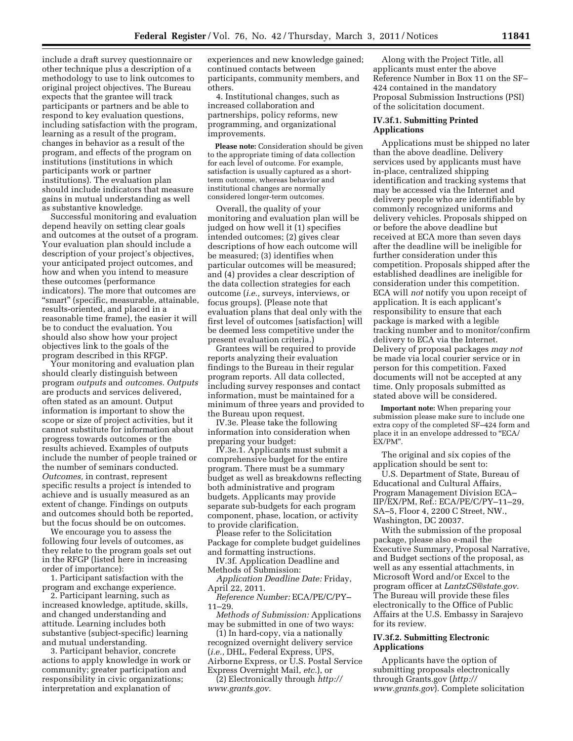include a draft survey questionnaire or other technique plus a description of a methodology to use to link outcomes to original project objectives. The Bureau expects that the grantee will track participants or partners and be able to respond to key evaluation questions, including satisfaction with the program, learning as a result of the program, changes in behavior as a result of the program, and effects of the program on institutions (institutions in which participants work or partner institutions). The evaluation plan should include indicators that measure gains in mutual understanding as well as substantive knowledge.

Successful monitoring and evaluation depend heavily on setting clear goals and outcomes at the outset of a program. Your evaluation plan should include a description of your project's objectives, your anticipated project outcomes, and how and when you intend to measure these outcomes (performance indicators). The more that outcomes are ''smart'' (specific, measurable, attainable, results-oriented, and placed in a reasonable time frame), the easier it will be to conduct the evaluation. You should also show how your project objectives link to the goals of the program described in this RFGP.

Your monitoring and evaluation plan should clearly distinguish between program *outputs* and *outcomes. Outputs*  are products and services delivered, often stated as an amount. Output information is important to show the scope or size of project activities, but it cannot substitute for information about progress towards outcomes or the results achieved. Examples of outputs include the number of people trained or the number of seminars conducted. *Outcomes,* in contrast, represent specific results a project is intended to achieve and is usually measured as an extent of change. Findings on outputs and outcomes should both be reported, but the focus should be on outcomes.

We encourage you to assess the following four levels of outcomes, as they relate to the program goals set out in the RFGP (listed here in increasing order of importance):

1. Participant satisfaction with the program and exchange experience.

2. Participant learning, such as increased knowledge, aptitude, skills, and changed understanding and attitude. Learning includes both substantive (subject-specific) learning and mutual understanding.

3. Participant behavior, concrete actions to apply knowledge in work or community; greater participation and responsibility in civic organizations; interpretation and explanation of

experiences and new knowledge gained; continued contacts between participants, community members, and others.

4. Institutional changes, such as increased collaboration and partnerships, policy reforms, new programming, and organizational improvements.

**Please note:** Consideration should be given to the appropriate timing of data collection for each level of outcome. For example, satisfaction is usually captured as a shortterm outcome, whereas behavior and institutional changes are normally considered longer-term outcomes.

Overall, the quality of your monitoring and evaluation plan will be judged on how well it (1) specifies intended outcomes; (2) gives clear descriptions of how each outcome will be measured; (3) identifies when particular outcomes will be measured; and (4) provides a clear description of the data collection strategies for each outcome (*i.e.,* surveys, interviews, or focus groups). (Please note that evaluation plans that deal only with the first level of outcomes [satisfaction] will be deemed less competitive under the present evaluation criteria.)

Grantees will be required to provide reports analyzing their evaluation findings to the Bureau in their regular program reports. All data collected, including survey responses and contact information, must be maintained for a minimum of three years and provided to the Bureau upon request.

IV.3e. Please take the following information into consideration when preparing your budget:

IV.3e.1. Applicants must submit a comprehensive budget for the entire program. There must be a summary budget as well as breakdowns reflecting both administrative and program budgets. Applicants may provide separate sub-budgets for each program component, phase, location, or activity to provide clarification.

Please refer to the Solicitation Package for complete budget guidelines and formatting instructions.

IV.3f. Application Deadline and Methods of Submission:

*Application Deadline Date:* Friday, April 22, 2011.

*Reference Number:* ECA/PE/C/PY– 11–29.

*Methods of Submission:* Applications may be submitted in one of two ways:

(1) In hard-copy, via a nationally recognized overnight delivery service (*i.e.,* DHL, Federal Express, UPS, Airborne Express, or U.S. Postal Service Express Overnight Mail, *etc.*), or

(2) Electronically through *[http://](http://www.grants.gov)  [www.grants.gov.](http://www.grants.gov)* 

Along with the Project Title, all applicants must enter the above Reference Number in Box 11 on the SF– 424 contained in the mandatory Proposal Submission Instructions (PSI) of the solicitation document.

# **IV.3f.1. Submitting Printed Applications**

Applications must be shipped no later than the above deadline. Delivery services used by applicants must have in-place, centralized shipping identification and tracking systems that may be accessed via the Internet and delivery people who are identifiable by commonly recognized uniforms and delivery vehicles. Proposals shipped on or before the above deadline but received at ECA more than seven days after the deadline will be ineligible for further consideration under this competition. Proposals shipped after the established deadlines are ineligible for consideration under this competition. ECA will *not* notify you upon receipt of application. It is each applicant's responsibility to ensure that each package is marked with a legible tracking number and to monitor/confirm delivery to ECA via the Internet. Delivery of proposal packages *may not*  be made via local courier service or in person for this competition. Faxed documents will not be accepted at any time. Only proposals submitted as stated above will be considered.

**Important note:** When preparing your submission please make sure to include one extra copy of the completed SF–424 form and place it in an envelope addressed to "ECA/ EX/PM''.

The original and six copies of the application should be sent to:

U.S. Department of State, Bureau of Educational and Cultural Affairs, Program Management Division ECA– IIP/EX/PM, Ref.: ECA/PE/C/PY–11–29, SA–5, Floor 4, 2200 C Street, NW., Washington, DC 20037.

With the submission of the proposal package, please also e-mail the Executive Summary, Proposal Narrative, and Budget sections of the proposal, as well as any essential attachments, in Microsoft Word and/or Excel to the program officer at *[LantzCS@state.gov.](mailto:LantzCS@state.gov)*  The Bureau will provide these files electronically to the Office of Public Affairs at the U.S. Embassy in Sarajevo for its review.

## **IV.3f.2. Submitting Electronic Applications**

Applicants have the option of submitting proposals electronically through Grants.gov (*[http://](http://www.grants.gov)  [www.grants.gov](http://www.grants.gov)*). Complete solicitation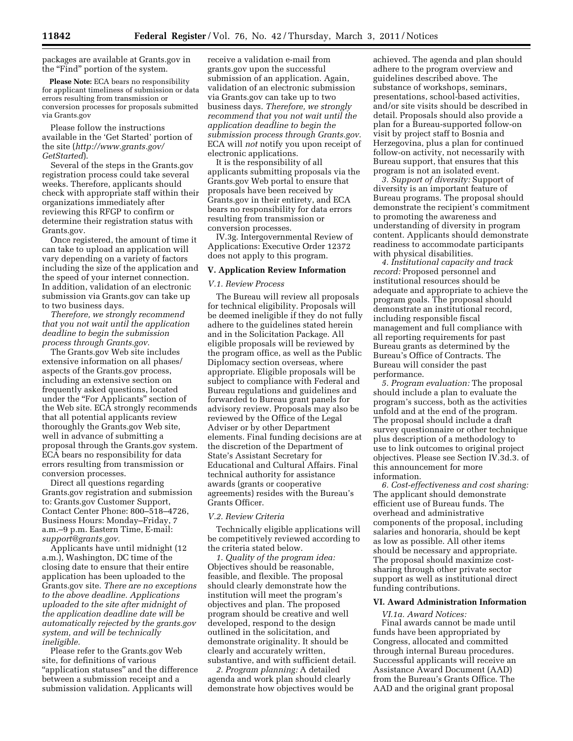packages are available at Grants.gov in the "Find" portion of the system.

**Please Note:** ECA bears no responsibility for applicant timeliness of submission or data errors resulting from transmission or conversion processes for proposals submitted via Grants.gov

Please follow the instructions available in the 'Get Started' portion of the site (*[http://www.grants.gov/](http://www.grants.gov/GetStarted)  [GetStarted](http://www.grants.gov/GetStarted)*).

Several of the steps in the Grants.gov registration process could take several weeks. Therefore, applicants should check with appropriate staff within their organizations immediately after reviewing this RFGP to confirm or determine their registration status with Grants.gov.

Once registered, the amount of time it can take to upload an application will vary depending on a variety of factors including the size of the application and the speed of your internet connection. In addition, validation of an electronic submission via Grants.gov can take up to two business days.

*Therefore, we strongly recommend that you not wait until the application deadline to begin the submission process through Grants.gov.* 

The Grants.gov Web site includes extensive information on all phases/ aspects of the Grants.gov process, including an extensive section on frequently asked questions, located under the "For Applicants" section of the Web site. ECA strongly recommends that all potential applicants review thoroughly the Grants.gov Web site, well in advance of submitting a proposal through the Grants.gov system. ECA bears no responsibility for data errors resulting from transmission or conversion processes.

Direct all questions regarding Grants.gov registration and submission to: Grants.gov Customer Support, Contact Center Phone: 800–518–4726, Business Hours: Monday–Friday, 7 a.m.–9 p.m. Eastern Time, E-mail: *[support@grants.gov.](mailto:support@grants.gov)* 

Applicants have until midnight (12 a.m.), Washington, DC time of the closing date to ensure that their entire application has been uploaded to the Grants.gov site. *There are no exceptions to the above deadline. Applications uploaded to the site after midnight of the application deadline date will be automatically rejected by the grants.gov system, and will be technically ineligible.* 

Please refer to the Grants.gov Web site, for definitions of various "application statuses" and the difference between a submission receipt and a submission validation. Applicants will

receive a validation e-mail from grants.gov upon the successful submission of an application. Again, validation of an electronic submission via Grants.gov can take up to two business days. *Therefore, we strongly recommend that you not wait until the application deadline to begin the submission process through Grants.gov.*  ECA will *not* notify you upon receipt of electronic applications.

It is the responsibility of all applicants submitting proposals via the Grants.gov Web portal to ensure that proposals have been received by Grants.gov in their entirety, and ECA bears no responsibility for data errors resulting from transmission or conversion processes.

IV.3g. Intergovernmental Review of Applications: Executive Order 12372 does not apply to this program.

#### **V. Application Review Information**

### *V.1. Review Process*

The Bureau will review all proposals for technical eligibility. Proposals will be deemed ineligible if they do not fully adhere to the guidelines stated herein and in the Solicitation Package. All eligible proposals will be reviewed by the program office, as well as the Public Diplomacy section overseas, where appropriate. Eligible proposals will be subject to compliance with Federal and Bureau regulations and guidelines and forwarded to Bureau grant panels for advisory review. Proposals may also be reviewed by the Office of the Legal Adviser or by other Department elements. Final funding decisions are at the discretion of the Department of State's Assistant Secretary for Educational and Cultural Affairs. Final technical authority for assistance awards (grants or cooperative agreements) resides with the Bureau's Grants Officer.

### *V.2. Review Criteria*

Technically eligible applications will be competitively reviewed according to the criteria stated below.

*1. Quality of the program idea:*  Objectives should be reasonable, feasible, and flexible. The proposal should clearly demonstrate how the institution will meet the program's objectives and plan. The proposed program should be creative and well developed, respond to the design outlined in the solicitation, and demonstrate originality. It should be clearly and accurately written, substantive, and with sufficient detail.

*2. Program planning:* A detailed agenda and work plan should clearly demonstrate how objectives would be

achieved. The agenda and plan should adhere to the program overview and guidelines described above. The substance of workshops, seminars, presentations, school-based activities, and/or site visits should be described in detail. Proposals should also provide a plan for a Bureau-supported follow-on visit by project staff to Bosnia and Herzegovina, plus a plan for continued follow-on activity, not necessarily with Bureau support, that ensures that this program is not an isolated event.

*3. Support of diversity:* Support of diversity is an important feature of Bureau programs. The proposal should demonstrate the recipient's commitment to promoting the awareness and understanding of diversity in program content. Applicants should demonstrate readiness to accommodate participants with physical disabilities.

*4. Institutional capacity and track record:* Proposed personnel and institutional resources should be adequate and appropriate to achieve the program goals. The proposal should demonstrate an institutional record, including responsible fiscal management and full compliance with all reporting requirements for past Bureau grants as determined by the Bureau's Office of Contracts. The Bureau will consider the past performance.

*5. Program evaluation:* The proposal should include a plan to evaluate the program's success, both as the activities unfold and at the end of the program. The proposal should include a draft survey questionnaire or other technique plus description of a methodology to use to link outcomes to original project objectives. Please see Section IV.3d.3. of this announcement for more information.

*6. Cost-effectiveness and cost sharing:*  The applicant should demonstrate efficient use of Bureau funds. The overhead and administrative components of the proposal, including salaries and honoraria, should be kept as low as possible. All other items should be necessary and appropriate. The proposal should maximize costsharing through other private sector support as well as institutional direct funding contributions.

### **VI. Award Administration Information**

*VI.1a. Award Notices:*  Final awards cannot be made until funds have been appropriated by Congress, allocated and committed through internal Bureau procedures. Successful applicants will receive an Assistance Award Document (AAD) from the Bureau's Grants Office. The AAD and the original grant proposal